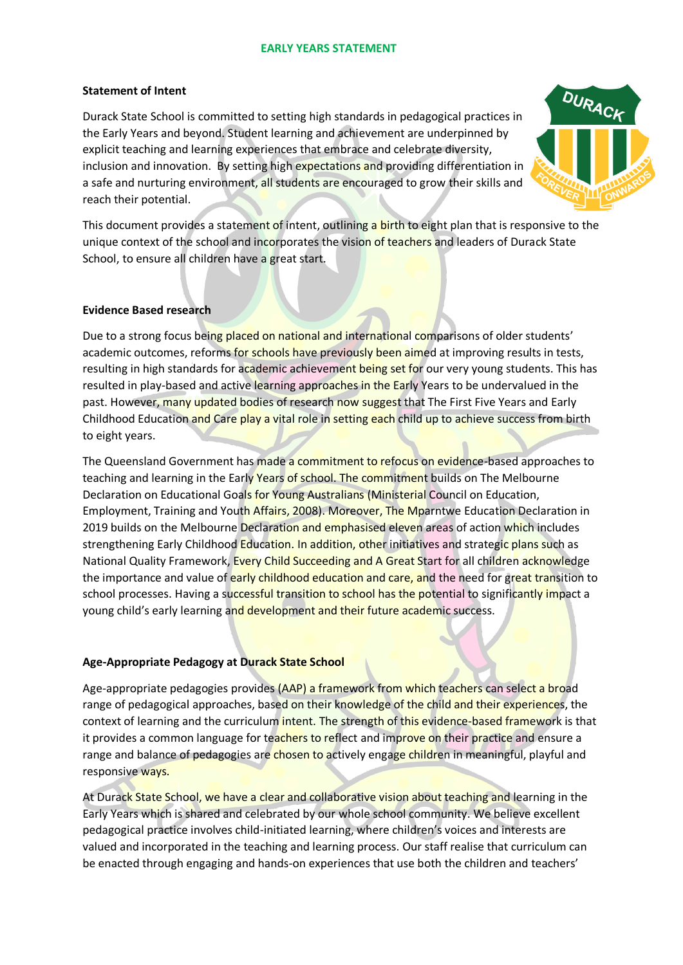#### **EARLY YEARS STATEMENT**

### **Statement of Intent**

Durack State School is committed to setting high standards in pedagogical practices in the Early Years and beyond. Student learning and achievement are underpinned by explicit teaching and learning experiences that embrace and celebrate diversity, inclusion and innovation. By setting high expectations and providing differentiation in a safe and nurturing environment, all students are encouraged to grow their skills and reach their potential.



This document provides a statement of intent, outlining a birth to eight plan that is responsive to the unique context of the school and incorporates the vision of teachers and leaders of Durack State School, to ensure all children have a great start.

### **Evidence Based research**

Due to a strong focus being placed on national and international comparisons of older students' academic outcomes, reforms for schools have previously been aimed at improving results in tests, resulting in high standards for academic achievement being set for our very young students. This has resulted in play-based and active learning approaches in the Early Years to be undervalued in the past. However, many updated bodies of research now suggest that The First Five Years and Early Childhood Education and Care play a vital role in setting each child up to achieve success from birth to eight years.

The Queensland Government has made a commitment to refocus on evidence-based approaches to teaching and learning in the Early Years of school. The commitment builds on The Melbourne Declaration on Educational Goals for Young Australians (Ministerial Council on Education, Employment, Training and Youth Affairs, 2008). Moreover, The Mparntwe Education Declaration in 2019 builds on the Melbourne Declaration and emphasised eleven areas of action which includes strengthening Early Childhood Education. In addition, other initiatives and strategic plans such as National Quality Framework, Every Child Succeeding and A Great Start for all children acknowledge the importance and value of early childhood education and care, and the need for great transition to school processes. Having a successful transition to school has the potential to significantly impact a young child's early learning and development and their future academic success.

## **Age-Appropriate Pedagogy at Durack State School**

Age-appropriate pedagogies provides (AAP) a framework from which teachers can select a broad range of pedagogical approaches, based on their knowledge of the child and their experiences, the context of learning and the curriculum intent. The strength of this evidence-based framework is that it provides a common language for teachers to reflect and improve on their practice and ensure a range and balance of pedagogies are chosen to actively engage children in meaningful, playful and responsive ways.

At Durack State School, we have a clear and collaborative vision about teaching and learning in the Early Years which is shared and celebrated by our whole school community. We believe excellent pedagogical practice involves child-initiated learning, where children's voices and interests are valued and incorporated in the teaching and learning process. Our staff realise that curriculum can be enacted through engaging and hands-on experiences that use both the children and teachers'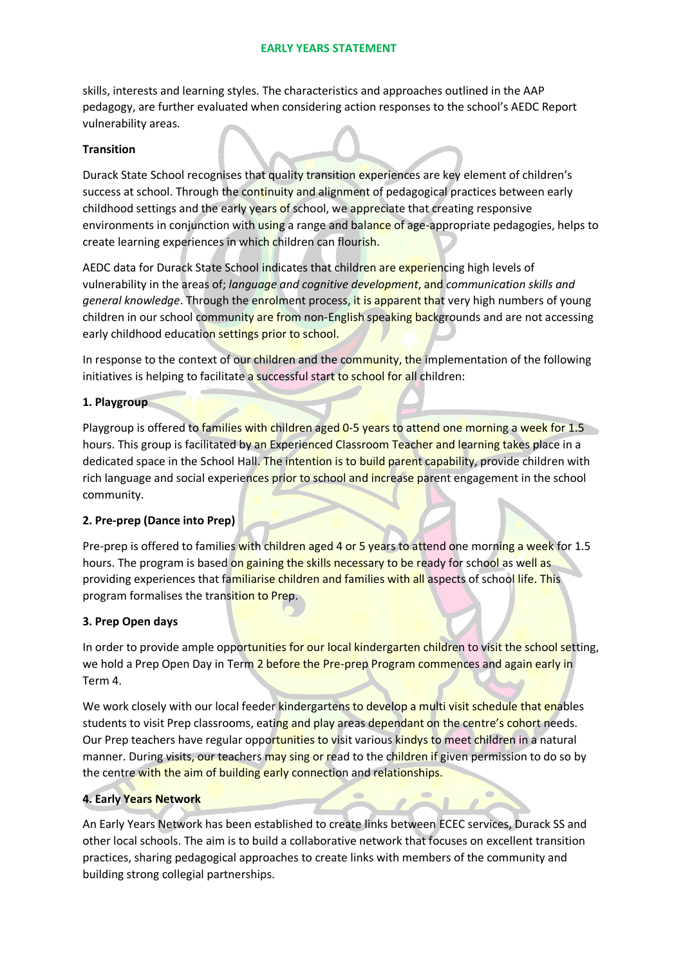### **EARLY YEARS STATEMENT**

skills, interests and learning styles. The characteristics and approaches outlined in the AAP pedagogy, are further evaluated when considering action responses to the school's AEDC Report vulnerability areas.

#### **Transition**

Durack State School recognises that quality transition experiences are key element of children's success at school. Through the continuity and alignment of pedagogical practices between early childhood settings and the early years of school, we appreciate that creating responsive environments in conjunction with using a range and balance of age-appropriate pedagogies, helps to create learning experiences in which children can flourish.

AEDC data for Durack State School indicates that children are experiencing high levels of vulnerability in the areas of; *language and cognitive development*, and *communication skills and general knowledge*. Through the enrolment process, it is apparent that very high numbers of young children in our school community are from non-English speaking backgrounds and are not accessing early childhood education settings prior to school.

In response to the context of our children and the community, the implementation of the following initiatives is helping to facilitate a successful start to school for all children:

### **1. Playgroup**

Playgroup is offered to families with children aged 0-5 years to attend one morning a week for 1.5 hours. This group is facilitated by an Experienced Classroom Teacher and learning takes place in a dedicated space in the School Hall. The intention is to build parent capability, provide children with rich language and social experiences prior to school and increase parent engagement in the school community.

#### **2. Pre-prep (Dance into Prep)**

Pre-prep is offered to families with children aged 4 or 5 years to attend one morning a week for 1.5 hours. The program is based on gaining the skills necessary to be ready for school as well as providing experiences that familiarise children and families with all aspects of school life. This program formalises the transition to Prep.

## **3. Prep Open days**

In order to provide ample opportunities for our local kindergarten children to visit the school setting, we hold a Prep Open Day in Term 2 before the Pre-prep Program commences and again early in Term 4.

We work closely with our local feeder kindergartens to develop a multi visit schedule that enables students to visit Prep classrooms, eating and play areas dependant on the centre's cohort needs. Our Prep teachers have regular opportunities to visit various kindys to meet children in a natural manner. During visits, our teachers may sing or read to the children if given permission to do so by the centre with the aim of building early connection and relationships.

## **4. Early Years Network**

An Early Years Network has been established to create links between ECEC services, Durack SS and other local schools. The aim is to build a collaborative network that focuses on excellent transition practices, sharing pedagogical approaches to create links with members of the community and building strong collegial partnerships.